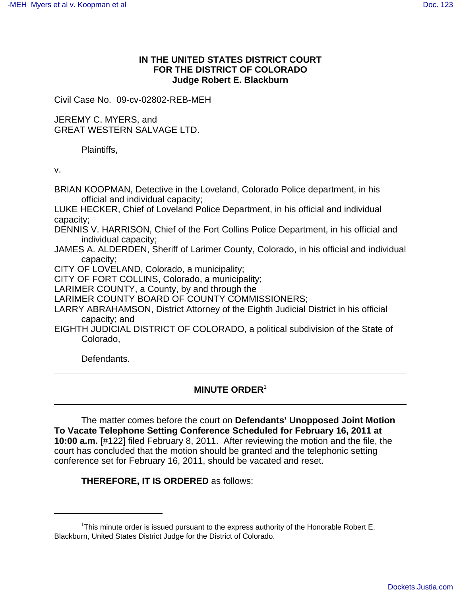## **IN THE UNITED STATES DISTRICT COURT FOR THE DISTRICT OF COLORADO Judge Robert E. Blackburn**

Civil Case No. 09-cv-02802-REB-MEH

JEREMY C. MYERS, and GREAT WESTERN SALVAGE LTD.

Plaintiffs,

v.

BRIAN KOOPMAN, Detective in the Loveland, Colorado Police department, in his official and individual capacity; LUKE HECKER, Chief of Loveland Police Department, in his official and individual capacity; DENNIS V. HARRISON, Chief of the Fort Collins Police Department, in his official and individual capacity; JAMES A. ALDERDEN, Sheriff of Larimer County, Colorado, in his official and individual capacity; CITY OF LOVELAND, Colorado, a municipality; CITY OF FORT COLLINS, Colorado, a municipality; LARIMER COUNTY, a County, by and through the LARIMER COUNTY BOARD OF COUNTY COMMISSIONERS; LARRY ABRAHAMSON, District Attorney of the Eighth Judicial District in his official capacity; and EIGHTH JUDICIAL DISTRICT OF COLORADO, a political subdivision of the State of Colorado,

Defendants.

## **MINUTE ORDER**<sup>1</sup>

The matter comes before the court on **Defendants' Unopposed Joint Motion To Vacate Telephone Setting Conference Scheduled for February 16, 2011 at 10:00 a.m.** [#122] filed February 8, 2011. After reviewing the motion and the file, the court has concluded that the motion should be granted and the telephonic setting conference set for February 16, 2011, should be vacated and reset.

**THEREFORE, IT IS ORDERED** as follows:

<sup>&</sup>lt;sup>1</sup>This minute order is issued pursuant to the express authority of the Honorable Robert E. Blackburn, United States District Judge for the District of Colorado.